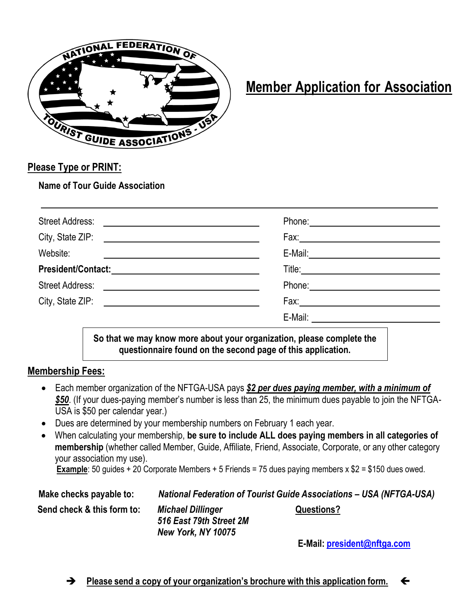

## **Member Application for Association**

### **Please Type or PRINT:**

**Name of Tour Guide Association**

| <b>Street Address:</b><br><u> 1989 - Johann John Stein, fransk politik (</u> |                                                                                                               |
|------------------------------------------------------------------------------|---------------------------------------------------------------------------------------------------------------|
|                                                                              |                                                                                                               |
| Website:                                                                     |                                                                                                               |
|                                                                              |                                                                                                               |
|                                                                              | Phone: 2008 2010 2010 2010 2010 2011 2021 2022 2023 2024 2022 2023 2024 2022 2023 2024 2022 2023 2024 2025 20 |
|                                                                              |                                                                                                               |
|                                                                              | E-Mail: _____________________                                                                                 |
|                                                                              | So that we may know more about your organization please complete the                                          |

**So that we may know more about your organization, please complete the questionnaire found on the second page of this application.**

#### **Membership Fees:**

- Each member organization of the NFTGA-USA pays *\$2 per dues paying member, with a minimum of \$50*. (If your dues-paying member's number is less than 25, the minimum dues payable to join the NFTGA-USA is \$50 per calendar year.)
- Dues are determined by your membership numbers on February 1 each year.
- When calculating your membership, **be sure to include ALL does paying members in all categories of membership** (whether called Member, Guide, Affiliate, Friend, Associate, Corporate, or any other category your association my use).

**Example**: 50 guides + 20 Corporate Members + 5 Friends = 75 dues paying members x \$2 = \$150 dues owed.

**Make checks payable to:** *National Federation of Tourist Guide Associations – USA (NFTGA-USA)*  **Send check & this form to:** *Michael Dillinger* **Questions?**

*516 East 79th Street 2M New York, NY 10075*

 **E-Mail: [president@nftga.com](mailto:president@nftga.com)**